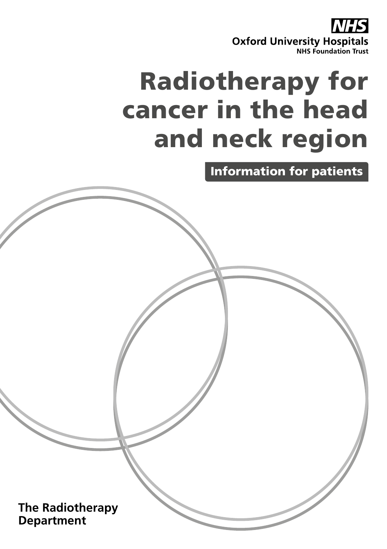**Oxford University Hospitals**<br>**NHS Foundation Trust** 

# Radiotherapy for cancer in the head and neck region

Information for patients

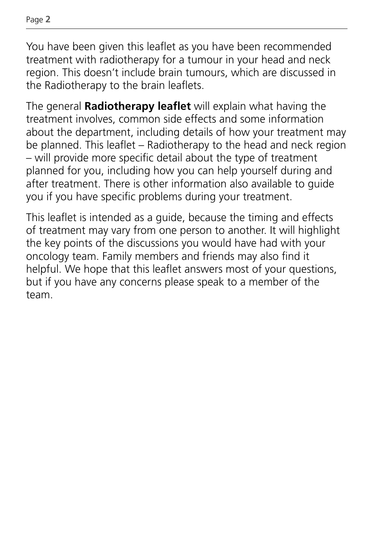You have been given this leaflet as you have been recommended treatment with radiotherapy for a tumour in your head and neck region. This doesn't include brain tumours, which are discussed in the Radiotherapy to the brain leaflets.

The general **Radiotherapy leaflet** will explain what having the treatment involves, common side effects and some information about the department, including details of how your treatment may be planned. This leaflet – Radiotherapy to the head and neck region – will provide more specific detail about the type of treatment planned for you, including how you can help yourself during and after treatment. There is other information also available to guide you if you have specific problems during your treatment.

This leaflet is intended as a guide, because the timing and effects of treatment may vary from one person to another. It will highlight the key points of the discussions you would have had with your oncology team. Family members and friends may also find it helpful. We hope that this leaflet answers most of your questions, but if you have any concerns please speak to a member of the team.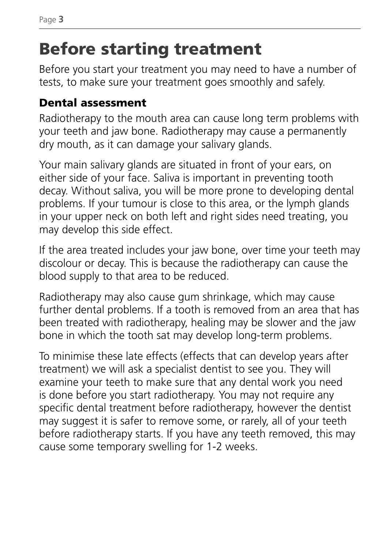# Before starting treatment

Before you start your treatment you may need to have a number of tests, to make sure your treatment goes smoothly and safely.

### Dental assessment

Radiotherapy to the mouth area can cause long term problems with your teeth and jaw bone. Radiotherapy may cause a permanently dry mouth, as it can damage your salivary glands.

Your main salivary glands are situated in front of your ears, on either side of your face. Saliva is important in preventing tooth decay. Without saliva, you will be more prone to developing dental problems. If your tumour is close to this area, or the lymph glands in your upper neck on both left and right sides need treating, you may develop this side effect.

If the area treated includes your jaw bone, over time your teeth may discolour or decay. This is because the radiotherapy can cause the blood supply to that area to be reduced.

Radiotherapy may also cause gum shrinkage, which may cause further dental problems. If a tooth is removed from an area that has been treated with radiotherapy, healing may be slower and the jaw bone in which the tooth sat may develop long-term problems.

To minimise these late effects (effects that can develop years after treatment) we will ask a specialist dentist to see you. They will examine your teeth to make sure that any dental work you need is done before you start radiotherapy. You may not require any specific dental treatment before radiotherapy, however the dentist may suggest it is safer to remove some, or rarely, all of your teeth before radiotherapy starts. If you have any teeth removed, this may cause some temporary swelling for 1-2 weeks.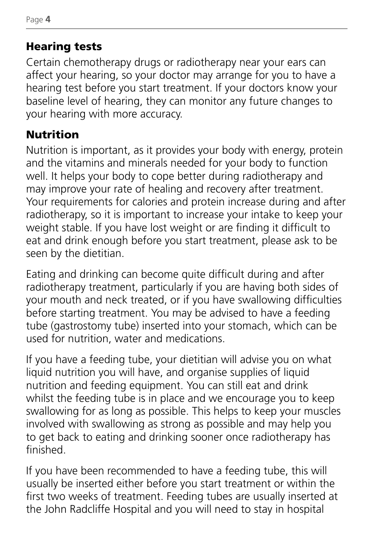### Hearing tests

Certain chemotherapy drugs or radiotherapy near your ears can affect your hearing, so your doctor may arrange for you to have a hearing test before you start treatment. If your doctors know your baseline level of hearing, they can monitor any future changes to your hearing with more accuracy.

### Nutrition

Nutrition is important, as it provides your body with energy, protein and the vitamins and minerals needed for your body to function well. It helps your body to cope better during radiotherapy and may improve your rate of healing and recovery after treatment. Your requirements for calories and protein increase during and after radiotherapy, so it is important to increase your intake to keep your weight stable. If you have lost weight or are finding it difficult to eat and drink enough before you start treatment, please ask to be seen by the dietitian.

Eating and drinking can become quite difficult during and after radiotherapy treatment, particularly if you are having both sides of your mouth and neck treated, or if you have swallowing difficulties before starting treatment. You may be advised to have a feeding tube (gastrostomy tube) inserted into your stomach, which can be used for nutrition, water and medications.

If you have a feeding tube, your dietitian will advise you on what liquid nutrition you will have, and organise supplies of liquid nutrition and feeding equipment. You can still eat and drink whilst the feeding tube is in place and we encourage you to keep swallowing for as long as possible. This helps to keep your muscles involved with swallowing as strong as possible and may help you to get back to eating and drinking sooner once radiotherapy has finished.

If you have been recommended to have a feeding tube, this will usually be inserted either before you start treatment or within the first two weeks of treatment. Feeding tubes are usually inserted at the John Radcliffe Hospital and you will need to stay in hospital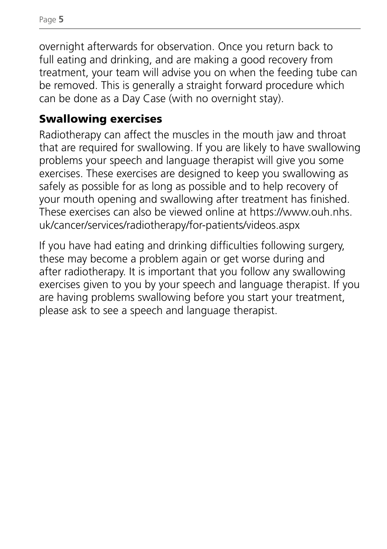overnight afterwards for observation. Once you return back to full eating and drinking, and are making a good recovery from treatment, your team will advise you on when the feeding tube can be removed. This is generally a straight forward procedure which can be done as a Day Case (with no overnight stay).

### Swallowing exercises

Radiotherapy can affect the muscles in the mouth jaw and throat that are required for swallowing. If you are likely to have swallowing problems your speech and language therapist will give you some exercises. These exercises are designed to keep you swallowing as safely as possible for as long as possible and to help recovery of your mouth opening and swallowing after treatment has finished. These exercises can also be viewed online at https://www.ouh.nhs. uk/cancer/services/radiotherapy/for-patients/videos.aspx

If you have had eating and drinking difficulties following surgery, these may become a problem again or get worse during and after radiotherapy. It is important that you follow any swallowing exercises given to you by your speech and language therapist. If you are having problems swallowing before you start your treatment, please ask to see a speech and language therapist.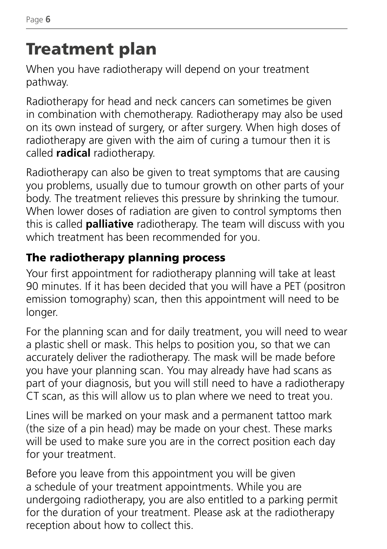# Treatment plan

When you have radiotherapy will depend on your treatment pathway.

Radiotherapy for head and neck cancers can sometimes be given in combination with chemotherapy. Radiotherapy may also be used on its own instead of surgery, or after surgery. When high doses of radiotherapy are given with the aim of curing a tumour then it is called **radical** radiotherapy.

Radiotherapy can also be given to treat symptoms that are causing you problems, usually due to tumour growth on other parts of your body. The treatment relieves this pressure by shrinking the tumour. When lower doses of radiation are given to control symptoms then this is called **palliative** radiotherapy. The team will discuss with you which treatment has been recommended for you.

### The radiotherapy planning process

Your first appointment for radiotherapy planning will take at least 90 minutes. If it has been decided that you will have a PET (positron emission tomography) scan, then this appointment will need to be longer.

For the planning scan and for daily treatment, you will need to wear a plastic shell or mask. This helps to position you, so that we can accurately deliver the radiotherapy. The mask will be made before you have your planning scan. You may already have had scans as part of your diagnosis, but you will still need to have a radiotherapy CT scan, as this will allow us to plan where we need to treat you.

Lines will be marked on your mask and a permanent tattoo mark (the size of a pin head) may be made on your chest. These marks will be used to make sure you are in the correct position each day for your treatment.

Before you leave from this appointment you will be given a schedule of your treatment appointments. While you are undergoing radiotherapy, you are also entitled to a parking permit for the duration of your treatment. Please ask at the radiotherapy reception about how to collect this.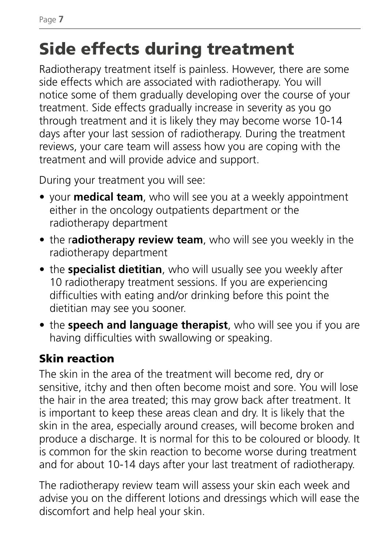# Side effects during treatment

Radiotherapy treatment itself is painless. However, there are some side effects which are associated with radiotherapy. You will notice some of them gradually developing over the course of your treatment. Side effects gradually increase in severity as you go through treatment and it is likely they may become worse 10-14 days after your last session of radiotherapy. During the treatment reviews, your care team will assess how you are coping with the treatment and will provide advice and support.

During your treatment you will see:

- your **medical team**, who will see you at a weekly appointment either in the oncology outpatients department or the radiotherapy department
- the r**adiotherapy review team**, who will see you weekly in the radiotherapy department
- the **specialist dietitian**, who will usually see you weekly after 10 radiotherapy treatment sessions. If you are experiencing difficulties with eating and/or drinking before this point the dietitian may see you sooner.
- the **speech and language therapist**, who will see you if you are having difficulties with swallowing or speaking.

### Skin reaction

The skin in the area of the treatment will become red, dry or sensitive, itchy and then often become moist and sore. You will lose the hair in the area treated; this may grow back after treatment. It is important to keep these areas clean and dry. It is likely that the skin in the area, especially around creases, will become broken and produce a discharge. It is normal for this to be coloured or bloody. It is common for the skin reaction to become worse during treatment and for about 10-14 days after your last treatment of radiotherapy.

The radiotherapy review team will assess your skin each week and advise you on the different lotions and dressings which will ease the discomfort and help heal your skin.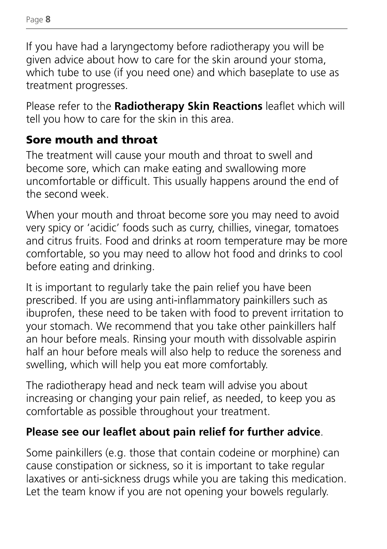If you have had a laryngectomy before radiotherapy you will be given advice about how to care for the skin around your stoma, which tube to use (if you need one) and which baseplate to use as treatment progresses.

Please refer to the **Radiotherapy Skin Reactions** leaflet which will tell you how to care for the skin in this area.

### Sore mouth and throat

The treatment will cause your mouth and throat to swell and become sore, which can make eating and swallowing more uncomfortable or difficult. This usually happens around the end of the second week.

When your mouth and throat become sore you may need to avoid very spicy or 'acidic' foods such as curry, chillies, vinegar, tomatoes and citrus fruits. Food and drinks at room temperature may be more comfortable, so you may need to allow hot food and drinks to cool before eating and drinking.

It is important to regularly take the pain relief you have been prescribed. If you are using anti-inflammatory painkillers such as ibuprofen, these need to be taken with food to prevent irritation to your stomach. We recommend that you take other painkillers half an hour before meals. Rinsing your mouth with dissolvable aspirin half an hour before meals will also help to reduce the soreness and swelling, which will help you eat more comfortably.

The radiotherapy head and neck team will advise you about increasing or changing your pain relief, as needed, to keep you as comfortable as possible throughout your treatment.

### **Please see our leaflet about pain relief for further advice**.

Some painkillers (e.g. those that contain codeine or morphine) can cause constipation or sickness, so it is important to take regular laxatives or anti-sickness drugs while you are taking this medication. Let the team know if you are not opening your bowels regularly.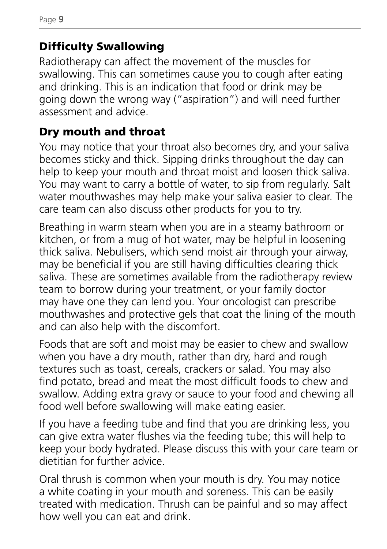### Difficulty Swallowing

Radiotherapy can affect the movement of the muscles for swallowing. This can sometimes cause you to cough after eating and drinking. This is an indication that food or drink may be going down the wrong way ("aspiration") and will need further assessment and advice.

### Dry mouth and throat

You may notice that your throat also becomes dry, and your saliva becomes sticky and thick. Sipping drinks throughout the day can help to keep your mouth and throat moist and loosen thick saliva. You may want to carry a bottle of water, to sip from regularly. Salt water mouthwashes may help make your saliva easier to clear. The care team can also discuss other products for you to try.

Breathing in warm steam when you are in a steamy bathroom or kitchen, or from a mug of hot water, may be helpful in loosening thick saliva. Nebulisers, which send moist air through your airway, may be beneficial if you are still having difficulties clearing thick saliva. These are sometimes available from the radiotherapy review team to borrow during your treatment, or your family doctor may have one they can lend you. Your oncologist can prescribe mouthwashes and protective gels that coat the lining of the mouth and can also help with the discomfort.

Foods that are soft and moist may be easier to chew and swallow when you have a dry mouth, rather than dry, hard and rough textures such as toast, cereals, crackers or salad. You may also find potato, bread and meat the most difficult foods to chew and swallow. Adding extra gravy or sauce to your food and chewing all food well before swallowing will make eating easier.

If you have a feeding tube and find that you are drinking less, you can give extra water flushes via the feeding tube; this will help to keep your body hydrated. Please discuss this with your care team or dietitian for further advice.

Oral thrush is common when your mouth is dry. You may notice a white coating in your mouth and soreness. This can be easily treated with medication. Thrush can be painful and so may affect how well you can eat and drink.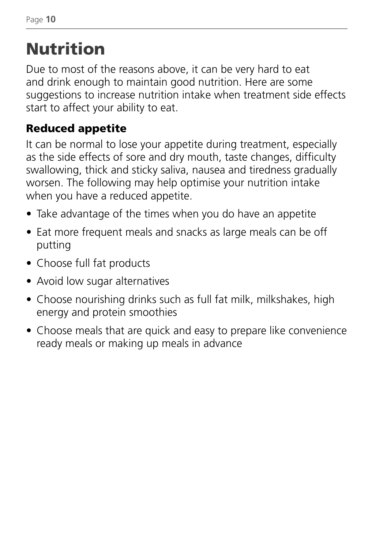# Nutrition

Due to most of the reasons above, it can be very hard to eat and drink enough to maintain good nutrition. Here are some suggestions to increase nutrition intake when treatment side effects start to affect your ability to eat.

### Reduced appetite

It can be normal to lose your appetite during treatment, especially as the side effects of sore and dry mouth, taste changes, difficulty swallowing, thick and sticky saliva, nausea and tiredness gradually worsen. The following may help optimise your nutrition intake when you have a reduced appetite.

- Take advantage of the times when you do have an appetite
- Eat more frequent meals and snacks as large meals can be off putting
- Choose full fat products
- Avoid low sugar alternatives
- Choose nourishing drinks such as full fat milk, milkshakes, high energy and protein smoothies
- Choose meals that are quick and easy to prepare like convenience ready meals or making up meals in advance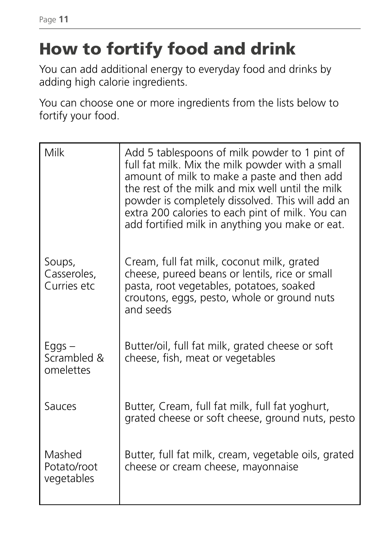Page **11**

# How to fortify food and drink

You can add additional energy to everyday food and drinks by adding high calorie ingredients.

You can choose one or more ingredients from the lists below to fortify your food.

| Milk                                    | Add 5 tablespoons of milk powder to 1 pint of<br>full fat milk. Mix the milk powder with a small<br>amount of milk to make a paste and then add<br>the rest of the milk and mix well until the milk<br>powder is completely dissolved. This will add an<br>extra 200 calories to each pint of milk. You can<br>add fortified milk in anything you make or eat. |
|-----------------------------------------|----------------------------------------------------------------------------------------------------------------------------------------------------------------------------------------------------------------------------------------------------------------------------------------------------------------------------------------------------------------|
| Soups,<br>Casseroles,<br>Curries etc    | Cream, full fat milk, coconut milk, grated<br>cheese, pureed beans or lentils, rice or small<br>pasta, root vegetables, potatoes, soaked<br>croutons, eggs, pesto, whole or ground nuts<br>and seeds                                                                                                                                                           |
| $E$ ggs $-$<br>Scrambled &<br>omelettes | Butter/oil, full fat milk, grated cheese or soft<br>cheese, fish, meat or vegetables                                                                                                                                                                                                                                                                           |
| Sauces                                  | Butter, Cream, full fat milk, full fat yoghurt,<br>grated cheese or soft cheese, ground nuts, pesto                                                                                                                                                                                                                                                            |
| Mashed<br>Potato/root<br>vegetables     | Butter, full fat milk, cream, vegetable oils, grated<br>cheese or cream cheese, mayonnaise                                                                                                                                                                                                                                                                     |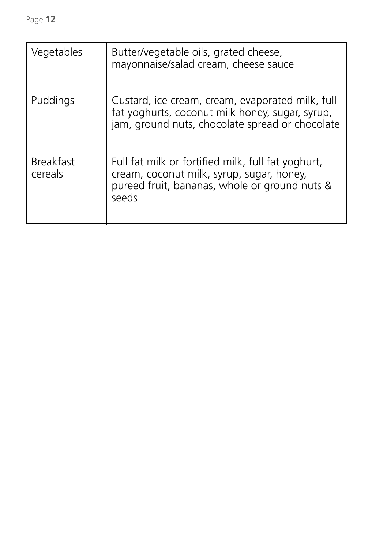| Vegetables                  | Butter/vegetable oils, grated cheese,<br>mayonnaise/salad cream, cheese sauce                                                                             |
|-----------------------------|-----------------------------------------------------------------------------------------------------------------------------------------------------------|
| Puddings                    | Custard, ice cream, cream, evaporated milk, full<br>fat yoghurts, coconut milk honey, sugar, syrup,<br>jam, ground nuts, chocolate spread or chocolate    |
| <b>Breakfast</b><br>cereals | Full fat milk or fortified milk, full fat yoghurt,<br>cream, coconut milk, syrup, sugar, honey,<br>pureed fruit, bananas, whole or ground nuts &<br>seeds |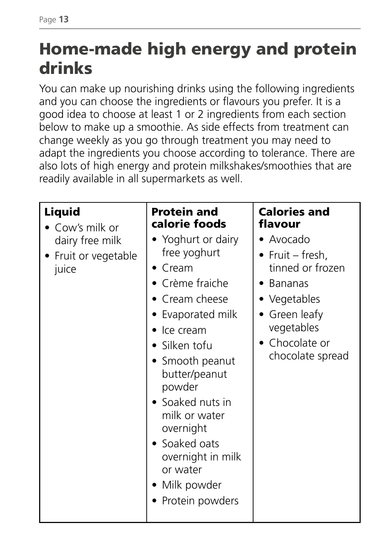# Home-made high energy and protein drinks

You can make up nourishing drinks using the following ingredients and you can choose the ingredients or flavours you prefer. It is a good idea to choose at least 1 or 2 ingredients from each section below to make up a smoothie. As side effects from treatment can change weekly as you go through treatment you may need to adapt the ingredients you choose according to tolerance. There are also lots of high energy and protein milkshakes/smoothies that are readily available in all supermarkets as well.

| Liquid<br>Cow's milk or<br>dairy free milk<br>Fruit or vegetable<br>juice | <b>Protein and</b><br>calorie foods<br>• Yoghurt or dairy<br>free yoghurt<br>Cream<br>• Crème fraiche<br>Cream cheese<br>Evaporated milk<br>Ice cream<br>• Silken tofu<br>• Smooth peanut<br>butter/peanut<br>powder<br>• Soaked nuts in<br>milk or water<br>overnight<br>• Soaked oats<br>overnight in milk<br>or water<br>Milk powder<br>Protein powders | <b>Calories and</b><br>flavour<br>• Avocado<br>• Fruit – fresh,<br>tinned or frozen<br>• Bananas<br>• Vegetables<br>• Green leafy<br>vegetables<br>• Chocolate or<br>chocolate spread |
|---------------------------------------------------------------------------|------------------------------------------------------------------------------------------------------------------------------------------------------------------------------------------------------------------------------------------------------------------------------------------------------------------------------------------------------------|---------------------------------------------------------------------------------------------------------------------------------------------------------------------------------------|
|---------------------------------------------------------------------------|------------------------------------------------------------------------------------------------------------------------------------------------------------------------------------------------------------------------------------------------------------------------------------------------------------------------------------------------------------|---------------------------------------------------------------------------------------------------------------------------------------------------------------------------------------|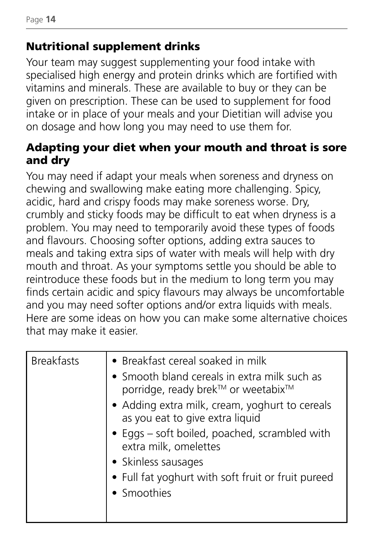### Nutritional supplement drinks

Your team may suggest supplementing your food intake with specialised high energy and protein drinks which are fortified with vitamins and minerals. These are available to buy or they can be given on prescription. These can be used to supplement for food intake or in place of your meals and your Dietitian will advise you on dosage and how long you may need to use them for.

#### Adapting your diet when your mouth and throat is sore and dry

You may need if adapt your meals when soreness and dryness on chewing and swallowing make eating more challenging. Spicy, acidic, hard and crispy foods may make soreness worse. Dry, crumbly and sticky foods may be difficult to eat when dryness is a problem. You may need to temporarily avoid these types of foods and flavours. Choosing softer options, adding extra sauces to meals and taking extra sips of water with meals will help with dry mouth and throat. As your symptoms settle you should be able to reintroduce these foods but in the medium to long term you may finds certain acidic and spicy flavours may always be uncomfortable and you may need softer options and/or extra liquids with meals. Here are some ideas on how you can make some alternative choices that may make it easier.

| <b>Breakfasts</b> | • Breakfast cereal soaked in milk<br>• Smooth bland cereals in extra milk such as<br>porridge, ready brek™ or weetabix™<br>• Adding extra milk, cream, yoghurt to cereals<br>as you eat to give extra liquid<br>• Eggs - soft boiled, poached, scrambled with<br>extra milk, omelettes<br>• Skinless sausages<br>• Full fat yoghurt with soft fruit or fruit pureed<br>• Smoothies |
|-------------------|------------------------------------------------------------------------------------------------------------------------------------------------------------------------------------------------------------------------------------------------------------------------------------------------------------------------------------------------------------------------------------|
|                   |                                                                                                                                                                                                                                                                                                                                                                                    |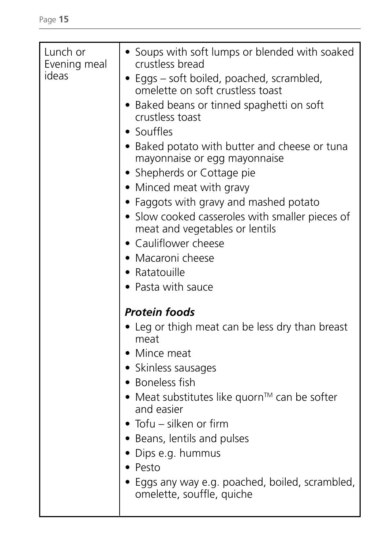| Lunch or<br>Evening meal<br>ideas | • Soups with soft lumps or blended with soaked<br>crustless bread<br>• Eggs – soft boiled, poached, scrambled,<br>omelette on soft crustless toast<br>• Baked beans or tinned spaghetti on soft<br>crustless toast<br>• Souffles<br>• Baked potato with butter and cheese or tuna<br>mayonnaise or egg mayonnaise<br>• Shepherds or Cottage pie<br>• Minced meat with gravy<br>• Faggots with gravy and mashed potato<br>· Slow cooked casseroles with smaller pieces of<br>meat and vegetables or lentils<br>• Cauliflower cheese<br>• Macaroni cheese<br>• Ratatouille<br>• Pasta with sauce<br><b>Protein foods</b><br>• Leg or thigh meat can be less dry than breast<br>meat<br>• Mince meat<br>• Skinless sausages<br>• Boneless fish<br>• Meat substitutes like quorn <sup>™</sup> can be softer<br>and easier<br>• Tofu - silken or firm<br>• Beans, lentils and pulses<br>• Dips e.g. hummus<br>• Pesto<br>• Eggs any way e.g. poached, boiled, scrambled,<br>omelette, souffle, quiche |
|-----------------------------------|--------------------------------------------------------------------------------------------------------------------------------------------------------------------------------------------------------------------------------------------------------------------------------------------------------------------------------------------------------------------------------------------------------------------------------------------------------------------------------------------------------------------------------------------------------------------------------------------------------------------------------------------------------------------------------------------------------------------------------------------------------------------------------------------------------------------------------------------------------------------------------------------------------------------------------------------------------------------------------------------------|
|                                   |                                                                                                                                                                                                                                                                                                                                                                                                                                                                                                                                                                                                                                                                                                                                                                                                                                                                                                                                                                                                  |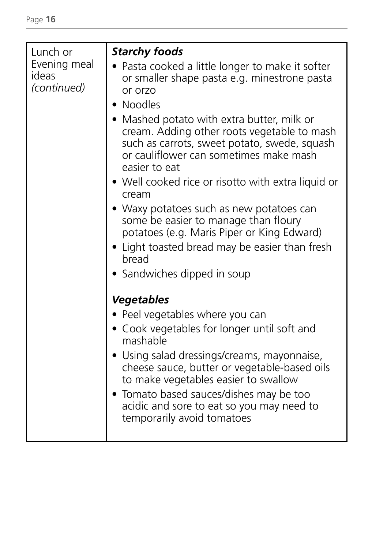| Lunch or<br>Evening meal | <b>Starchy foods</b><br>• Pasta cooked a little longer to make it softer                                                                                                                             |
|--------------------------|------------------------------------------------------------------------------------------------------------------------------------------------------------------------------------------------------|
| ideas<br>(continued)     | or smaller shape pasta e.g. minestrone pasta<br>or orzo                                                                                                                                              |
|                          | • Noodles                                                                                                                                                                                            |
|                          | • Mashed potato with extra butter, milk or<br>cream. Adding other roots vegetable to mash<br>such as carrots, sweet potato, swede, squash<br>or cauliflower can sometimes make mash<br>easier to eat |
|                          | • Well cooked rice or risotto with extra liquid or<br>cream                                                                                                                                          |
|                          | • Waxy potatoes such as new potatoes can<br>some be easier to manage than floury<br>potatoes (e.g. Maris Piper or King Edward)                                                                       |
|                          | • Light toasted bread may be easier than fresh<br>bread                                                                                                                                              |
|                          | • Sandwiches dipped in soup                                                                                                                                                                          |
|                          | <b>Vegetables</b>                                                                                                                                                                                    |
|                          | • Peel vegetables where you can                                                                                                                                                                      |
|                          | • Cook vegetables for longer until soft and<br>mashable                                                                                                                                              |
|                          | • Using salad dressings/creams, mayonnaise,<br>cheese sauce, butter or vegetable-based oils<br>to make vegetables easier to swallow                                                                  |
|                          | • Tomato based sauces/dishes may be too<br>acidic and sore to eat so you may need to<br>temporarily avoid tomatoes                                                                                   |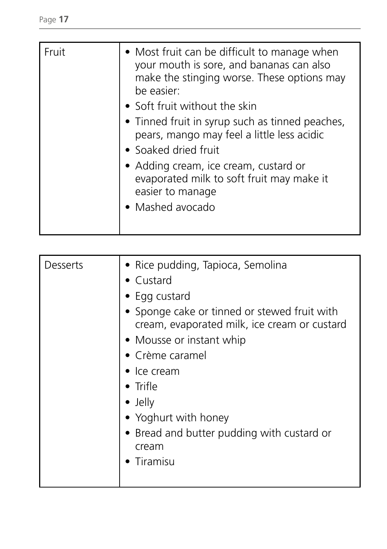| • Adding cream, ice cream, custard or<br>evaporated milk to soft fruit may make it<br>easier to manage<br>• Mashed avocado | Fruit | • Most fruit can be difficult to manage when<br>your mouth is sore, and bananas can also<br>make the stinging worse. These options may<br>be easier:<br>• Soft fruit without the skin<br>• Tinned fruit in syrup such as tinned peaches,<br>pears, mango may feel a little less acidic<br>• Soaked dried fruit |
|----------------------------------------------------------------------------------------------------------------------------|-------|----------------------------------------------------------------------------------------------------------------------------------------------------------------------------------------------------------------------------------------------------------------------------------------------------------------|
|----------------------------------------------------------------------------------------------------------------------------|-------|----------------------------------------------------------------------------------------------------------------------------------------------------------------------------------------------------------------------------------------------------------------------------------------------------------------|

| Desserts | • Rice pudding, Tapioca, Semolina                                                            |
|----------|----------------------------------------------------------------------------------------------|
|          | $\bullet$ Custard                                                                            |
|          | $\bullet$ Egg custard                                                                        |
|          | • Sponge cake or tinned or stewed fruit with<br>cream, evaporated milk, ice cream or custard |
|          | • Mousse or instant whip                                                                     |
|          | • Crème caramel                                                                              |
|          | $\bullet$ Ice cream                                                                          |
|          | • Trifle                                                                                     |
|          | $\bullet$ Jelly                                                                              |
|          | • Yoghurt with honey                                                                         |
|          | • Bread and butter pudding with custard or                                                   |
|          | cream                                                                                        |
|          | Tiramisu                                                                                     |
|          |                                                                                              |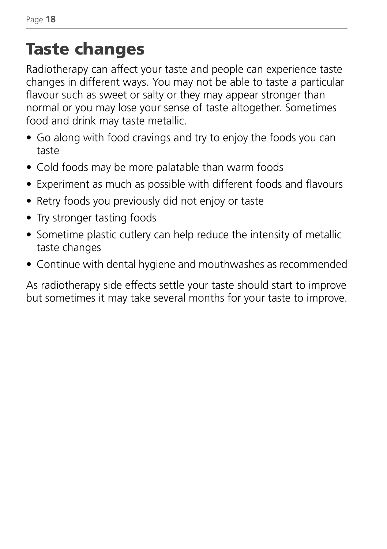# Taste changes

Radiotherapy can affect your taste and people can experience taste changes in different ways. You may not be able to taste a particular flavour such as sweet or salty or they may appear stronger than normal or you may lose your sense of taste altogether. Sometimes food and drink may taste metallic.

- Go along with food cravings and try to enjoy the foods you can taste
- Cold foods may be more palatable than warm foods
- Experiment as much as possible with different foods and flavours
- Retry foods you previously did not enjoy or taste
- Try stronger tasting foods
- Sometime plastic cutlery can help reduce the intensity of metallic taste changes
- Continue with dental hygiene and mouthwashes as recommended

As radiotherapy side effects settle your taste should start to improve but sometimes it may take several months for your taste to improve.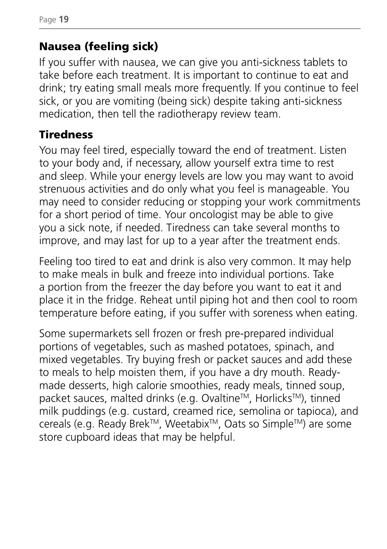### Nausea (feeling sick)

If you suffer with nausea, we can give you anti-sickness tablets to take before each treatment. It is important to continue to eat and drink; try eating small meals more frequently. If you continue to feel sick, or you are vomiting (being sick) despite taking anti-sickness medication, then tell the radiotherapy review team.

### **Tiredness**

You may feel tired, especially toward the end of treatment. Listen to your body and, if necessary, allow yourself extra time to rest and sleep. While your energy levels are low you may want to avoid strenuous activities and do only what you feel is manageable. You may need to consider reducing or stopping your work commitments for a short period of time. Your oncologist may be able to give you a sick note, if needed. Tiredness can take several months to improve, and may last for up to a year after the treatment ends.

Feeling too tired to eat and drink is also very common. It may help to make meals in bulk and freeze into individual portions. Take a portion from the freezer the day before you want to eat it and place it in the fridge. Reheat until piping hot and then cool to room temperature before eating, if you suffer with soreness when eating.

Some supermarkets sell frozen or fresh pre-prepared individual portions of vegetables, such as mashed potatoes, spinach, and mixed vegetables. Try buying fresh or packet sauces and add these to meals to help moisten them, if you have a dry mouth. Readymade desserts, high calorie smoothies, ready meals, tinned soup, packet sauces, malted drinks (e.g. Ovaltine™, Horlicks™), tinned milk puddings (e.g. custard, creamed rice, semolina or tapioca), and cereals (e.g. Ready Brek™, Weetabix™, Oats so Simple™) are some store cupboard ideas that may be helpful.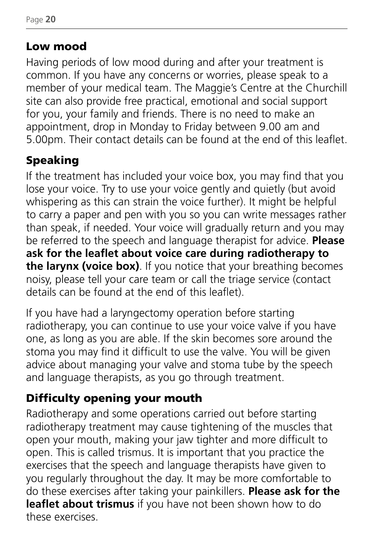### Low mood

Having periods of low mood during and after your treatment is common. If you have any concerns or worries, please speak to a member of your medical team. The Maggie's Centre at the Churchill site can also provide free practical, emotional and social support for you, your family and friends. There is no need to make an appointment, drop in Monday to Friday between 9.00 am and 5.00pm. Their contact details can be found at the end of this leaflet.

### Speaking

If the treatment has included your voice box, you may find that you lose your voice. Try to use your voice gently and quietly (but avoid whispering as this can strain the voice further). It might be helpful to carry a paper and pen with you so you can write messages rather than speak, if needed. Your voice will gradually return and you may be referred to the speech and language therapist for advice. **Please ask for the leaflet about voice care during radiotherapy to the larynx (voice box)**. If you notice that your breathing becomes noisy, please tell your care team or call the triage service (contact details can be found at the end of this leaflet).

If you have had a laryngectomy operation before starting radiotherapy, you can continue to use your voice valve if you have one, as long as you are able. If the skin becomes sore around the stoma you may find it difficult to use the valve. You will be given advice about managing your valve and stoma tube by the speech and language therapists, as you go through treatment.

### Difficulty opening your mouth

Radiotherapy and some operations carried out before starting radiotherapy treatment may cause tightening of the muscles that open your mouth, making your jaw tighter and more difficult to open. This is called trismus. It is important that you practice the exercises that the speech and language therapists have given to you regularly throughout the day. It may be more comfortable to do these exercises after taking your painkillers. **Please ask for the leaflet about trismus** if you have not been shown how to do these exercises.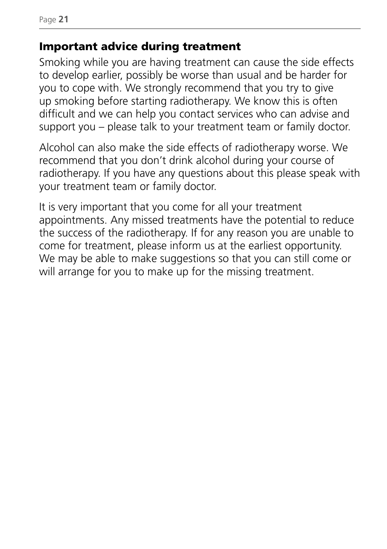Page **21**

#### Important advice during treatment

Smoking while you are having treatment can cause the side effects to develop earlier, possibly be worse than usual and be harder for you to cope with. We strongly recommend that you try to give up smoking before starting radiotherapy. We know this is often difficult and we can help you contact services who can advise and support you – please talk to your treatment team or family doctor.

Alcohol can also make the side effects of radiotherapy worse. We recommend that you don't drink alcohol during your course of radiotherapy. If you have any questions about this please speak with your treatment team or family doctor.

It is very important that you come for all your treatment appointments. Any missed treatments have the potential to reduce the success of the radiotherapy. If for any reason you are unable to come for treatment, please inform us at the earliest opportunity. We may be able to make suggestions so that you can still come or will arrange for you to make up for the missing treatment.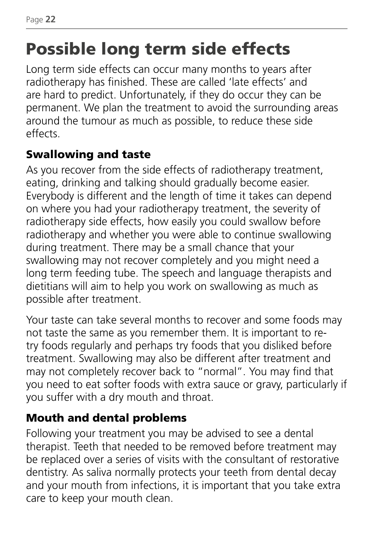# Possible long term side effects

Long term side effects can occur many months to years after radiotherapy has finished. These are called 'late effects' and are hard to predict. Unfortunately, if they do occur they can be permanent. We plan the treatment to avoid the surrounding areas around the tumour as much as possible, to reduce these side effects.

### Swallowing and taste

As you recover from the side effects of radiotherapy treatment, eating, drinking and talking should gradually become easier. Everybody is different and the length of time it takes can depend on where you had your radiotherapy treatment, the severity of radiotherapy side effects, how easily you could swallow before radiotherapy and whether you were able to continue swallowing during treatment. There may be a small chance that your swallowing may not recover completely and you might need a long term feeding tube. The speech and language therapists and dietitians will aim to help you work on swallowing as much as possible after treatment.

Your taste can take several months to recover and some foods may not taste the same as you remember them. It is important to retry foods regularly and perhaps try foods that you disliked before treatment. Swallowing may also be different after treatment and may not completely recover back to "normal". You may find that you need to eat softer foods with extra sauce or gravy, particularly if you suffer with a dry mouth and throat.

### Mouth and dental problems

Following your treatment you may be advised to see a dental therapist. Teeth that needed to be removed before treatment may be replaced over a series of visits with the consultant of restorative dentistry. As saliva normally protects your teeth from dental decay and your mouth from infections, it is important that you take extra care to keep your mouth clean.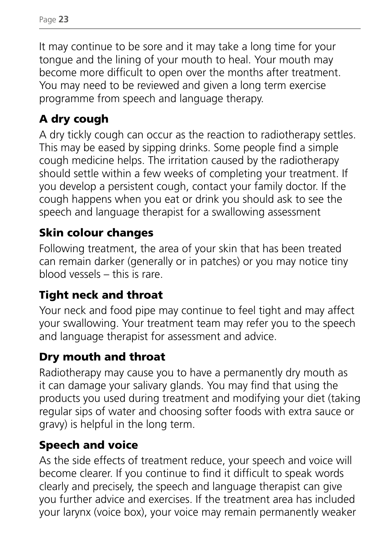It may continue to be sore and it may take a long time for your tongue and the lining of your mouth to heal. Your mouth may become more difficult to open over the months after treatment. You may need to be reviewed and given a long term exercise programme from speech and language therapy.

### A dry cough

A dry tickly cough can occur as the reaction to radiotherapy settles. This may be eased by sipping drinks. Some people find a simple cough medicine helps. The irritation caused by the radiotherapy should settle within a few weeks of completing your treatment. If you develop a persistent cough, contact your family doctor. If the cough happens when you eat or drink you should ask to see the speech and language therapist for a swallowing assessment

### Skin colour changes

Following treatment, the area of your skin that has been treated can remain darker (generally or in patches) or you may notice tiny blood vessels – this is rare.

### Tight neck and throat

Your neck and food pipe may continue to feel tight and may affect your swallowing. Your treatment team may refer you to the speech and language therapist for assessment and advice.

### Dry mouth and throat

Radiotherapy may cause you to have a permanently dry mouth as it can damage your salivary glands. You may find that using the products you used during treatment and modifying your diet (taking regular sips of water and choosing softer foods with extra sauce or gravy) is helpful in the long term.

### Speech and voice

As the side effects of treatment reduce, your speech and voice will become clearer. If you continue to find it difficult to speak words clearly and precisely, the speech and language therapist can give you further advice and exercises. If the treatment area has included your larynx (voice box), your voice may remain permanently weaker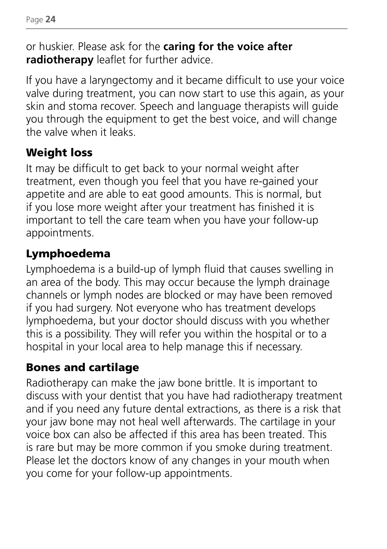or huskier. Please ask for the **caring for the voice after radiotherapy** leaflet for further advice.

If you have a laryngectomy and it became difficult to use your voice valve during treatment, you can now start to use this again, as your skin and stoma recover. Speech and language therapists will guide you through the equipment to get the best voice, and will change the valve when it leaks.

### Weight loss

It may be difficult to get back to your normal weight after treatment, even though you feel that you have re-gained your appetite and are able to eat good amounts. This is normal, but if you lose more weight after your treatment has finished it is important to tell the care team when you have your follow-up appointments.

### Lymphoedema

Lymphoedema is a build-up of lymph fluid that causes swelling in an area of the body. This may occur because the lymph drainage channels or lymph nodes are blocked or may have been removed if you had surgery. Not everyone who has treatment develops lymphoedema, but your doctor should discuss with you whether this is a possibility. They will refer you within the hospital or to a hospital in your local area to help manage this if necessary.

### Bones and cartilage

Radiotherapy can make the jaw bone brittle. It is important to discuss with your dentist that you have had radiotherapy treatment and if you need any future dental extractions, as there is a risk that your jaw bone may not heal well afterwards. The cartilage in your voice box can also be affected if this area has been treated. This is rare but may be more common if you smoke during treatment. Please let the doctors know of any changes in your mouth when you come for your follow-up appointments.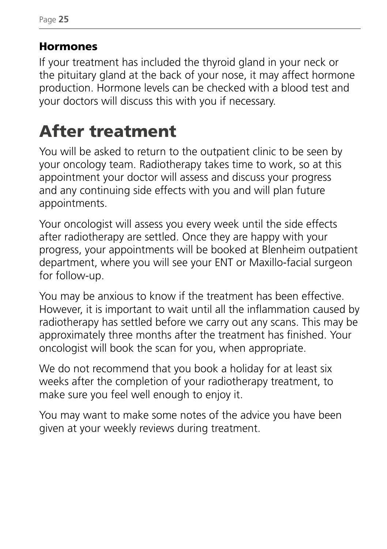### Hormones

If your treatment has included the thyroid gland in your neck or the pituitary gland at the back of your nose, it may affect hormone production. Hormone levels can be checked with a blood test and your doctors will discuss this with you if necessary.

# After treatment

You will be asked to return to the outpatient clinic to be seen by your oncology team. Radiotherapy takes time to work, so at this appointment your doctor will assess and discuss your progress and any continuing side effects with you and will plan future appointments.

Your oncologist will assess you every week until the side effects after radiotherapy are settled. Once they are happy with your progress, your appointments will be booked at Blenheim outpatient department, where you will see your ENT or Maxillo-facial surgeon for follow-up.

You may be anxious to know if the treatment has been effective. However, it is important to wait until all the inflammation caused by radiotherapy has settled before we carry out any scans. This may be approximately three months after the treatment has finished. Your oncologist will book the scan for you, when appropriate.

We do not recommend that you book a holiday for at least six weeks after the completion of your radiotherapy treatment, to make sure you feel well enough to enjoy it.

You may want to make some notes of the advice you have been given at your weekly reviews during treatment.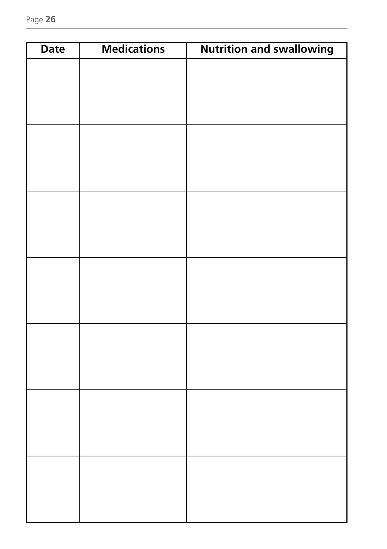| <b>Date</b> | <b>Medications</b> | <b>Nutrition and swallowing</b> |
|-------------|--------------------|---------------------------------|
|             |                    |                                 |
|             |                    |                                 |
|             |                    |                                 |
|             |                    |                                 |
|             |                    |                                 |
|             |                    |                                 |
|             |                    |                                 |
|             |                    |                                 |
|             |                    |                                 |
|             |                    |                                 |
|             |                    |                                 |
|             |                    |                                 |
|             |                    |                                 |
|             |                    |                                 |
|             |                    |                                 |
|             |                    |                                 |
|             |                    |                                 |
|             |                    |                                 |
|             |                    |                                 |
|             |                    |                                 |
|             |                    |                                 |
|             |                    |                                 |
|             |                    |                                 |
|             |                    |                                 |
|             |                    |                                 |
|             |                    |                                 |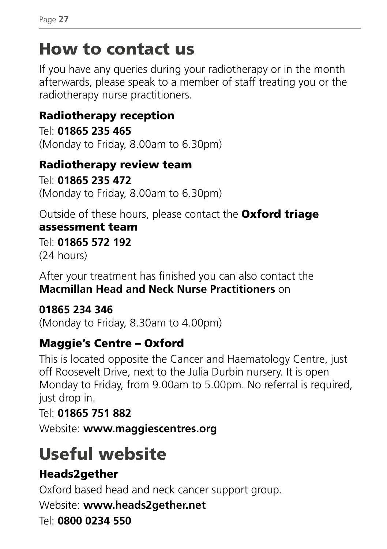## How to contact us

If you have any queries during your radiotherapy or in the month afterwards, please speak to a member of staff treating you or the radiotherapy nurse practitioners.

### Radiotherapy reception

Tel: **01865 235 465** (Monday to Friday, 8.00am to 6.30pm)

### Radiotherapy review team

Tel: **01865 235 472** (Monday to Friday, 8.00am to 6.30pm)

Outside of these hours, please contact the Oxford triage assessment team

Tel: **01865 572 192** (24 hours)

After your treatment has finished you can also contact the **Macmillan Head and Neck Nurse Practitioners** on

#### **01865 234 346**

(Monday to Friday, 8.30am to 4.00pm)

### Maggie's Centre – Oxford

This is located opposite the Cancer and Haematology Centre, just off Roosevelt Drive, next to the Julia Durbin nursery. It is open Monday to Friday, from 9.00am to 5.00pm. No referral is required, just drop in.

#### Tel: **01865 751 882**

Website: **www.maggiescentres.org** 

# Useful website

### Heads2gether

Oxford based head and neck cancer support group.

Website: **www.heads2gether.net**

#### Tel: **0800 0234 550**